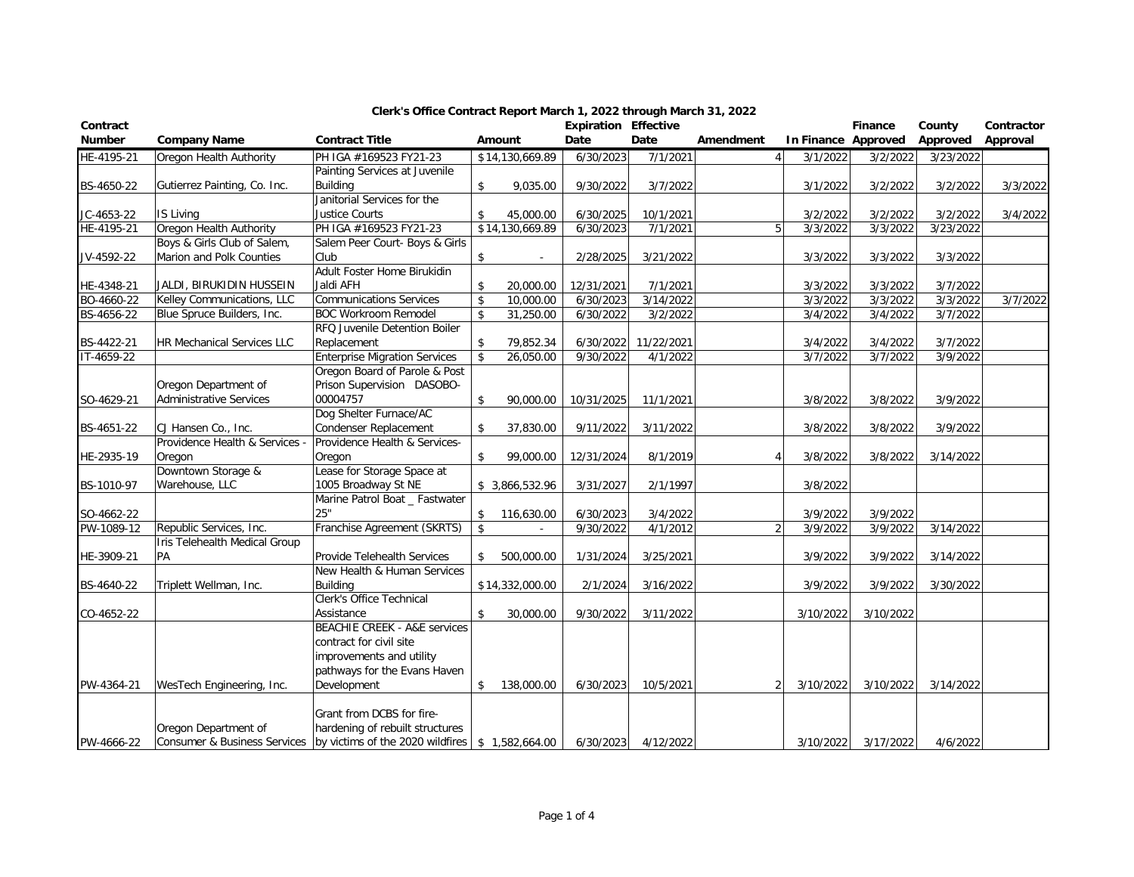| Contract      |                                   |                                                             |                    |                 | <b>Expiration Effective</b> |                       |                |                     | Finance   | County    | Contractor |
|---------------|-----------------------------------|-------------------------------------------------------------|--------------------|-----------------|-----------------------------|-----------------------|----------------|---------------------|-----------|-----------|------------|
| <b>Number</b> | <b>Company Name</b>               | <b>Contract Title</b>                                       |                    | Amount          | Date                        | Date                  | Amendment      | In Finance Approved |           | Approved  | Approval   |
| HE-4195-21    | Oregon Health Authority           | PH IGA #169523 FY21-23                                      |                    | \$14,130,669.89 | 6/30/2023                   | 7/1/2021              | $\overline{4}$ | 3/1/2022            | 3/2/2022  | 3/23/2022 |            |
|               |                                   | Painting Services at Juvenile                               |                    |                 |                             |                       |                |                     |           |           |            |
| BS-4650-22    | Gutierrez Painting, Co. Inc.      | <b>Building</b>                                             | \$                 | 9,035.00        | 9/30/2022                   | 3/7/2022              |                | 3/1/2022            | 3/2/2022  | 3/2/2022  | 3/3/2022   |
|               |                                   | Janitorial Services for the                                 |                    |                 |                             |                       |                |                     |           |           |            |
| JC-4653-22    | IS Living                         | <b>Justice Courts</b>                                       | \$                 | 45,000.00       | 6/30/2025                   | 10/1/2021             |                | 3/2/2022            | 3/2/2022  | 3/2/2022  | 3/4/2022   |
| HE-4195-21    | Oregon Health Authority           | PH IGA #169523 FY21-23                                      |                    | \$14,130,669.89 | 6/30/2023                   | 7/1/2021              |                | 3/3/2022            | 3/3/2022  | 3/23/2022 |            |
|               | Boys & Girls Club of Salem,       | Salem Peer Court- Boys & Girls                              |                    |                 |                             |                       |                |                     |           |           |            |
| JV-4592-22    | Marion and Polk Counties          | Club                                                        | \$                 |                 | 2/28/2025                   | 3/21/2022             |                | 3/3/2022            | 3/3/2022  | 3/3/2022  |            |
|               |                                   | Adult Foster Home Birukidin                                 |                    |                 |                             |                       |                |                     |           |           |            |
| HE-4348-21    | JALDI, BIRUKIDIN HUSSEIN          | Jaldi AFH                                                   | \$                 | 20,000.00       | 12/31/2021                  | 7/1/2021              |                | 3/3/2022            | 3/3/2022  | 3/7/2022  |            |
| BO-4660-22    | Kelley Communications, LLC        | <b>Communications Services</b>                              | \$                 | 10,000.00       | 6/30/2023                   | 3/14/2022             |                | 3/3/2022            | 3/3/2022  | 3/3/2022  | 3/7/2022   |
| BS-4656-22    | Blue Spruce Builders, Inc.        | <b>BOC Workroom Remodel</b>                                 | $\mathbf{\hat{z}}$ | 31,250.00       | 6/30/2022                   | 3/2/2022              |                | 3/4/2022            | 3/4/2022  | 3/7/2022  |            |
|               |                                   | RFQ Juvenile Detention Boiler                               |                    |                 |                             |                       |                |                     |           |           |            |
| BS-4422-21    | <b>HR Mechanical Services LLC</b> | Replacement                                                 | \$                 | 79,852.34       | 6/30/2022                   | 11/22/2021            |                | 3/4/2022            | 3/4/2022  | 3/7/2022  |            |
| IT-4659-22    |                                   | <b>Enterprise Migration Services</b>                        | \$                 | 26,050.00       | 9/30/2022                   | $\frac{1}{4}$ /1/2022 |                | 3/7/2022            | 3/7/2022  | 3/9/2022  |            |
|               |                                   | Oregon Board of Parole & Post                               |                    |                 |                             |                       |                |                     |           |           |            |
|               | Oregon Department of              | Prison Supervision DASOBO-                                  |                    |                 |                             |                       |                |                     |           |           |            |
| SO-4629-21    | <b>Administrative Services</b>    | 00004757                                                    | \$                 | 90,000.00       | 10/31/2025                  | 11/1/2021             |                | 3/8/2022            | 3/8/2022  | 3/9/2022  |            |
|               |                                   | Dog Shelter Furnace/AC                                      |                    |                 |                             |                       |                |                     |           |           |            |
| BS-4651-22    | CJ Hansen Co., Inc.               | <b>Condenser Replacement</b>                                | \$                 | 37,830.00       | 9/11/2022                   | 3/11/2022             |                | 3/8/2022            | 3/8/2022  | 3/9/2022  |            |
|               | Providence Health & Services      | Providence Health & Services-                               |                    |                 |                             |                       |                |                     |           |           |            |
| HE-2935-19    | Oregon                            | Oregon                                                      | \$                 | 99,000.00       | 12/31/2024                  | 8/1/2019              |                | 3/8/2022            | 3/8/2022  | 3/14/2022 |            |
|               | Downtown Storage &                | Lease for Storage Space at                                  |                    |                 |                             |                       |                |                     |           |           |            |
| BS-1010-97    | Warehouse, LLC                    | 1005 Broadway St NE                                         |                    | \$3,866,532.96  | 3/31/2027                   | 2/1/1997              |                | 3/8/2022            |           |           |            |
|               |                                   | Marine Patrol Boat _ Fastwater                              |                    |                 |                             |                       |                |                     |           |           |            |
| SO-4662-22    |                                   | 25"                                                         | \$                 | 116,630.00      | 6/30/2023                   | 3/4/2022              |                | 3/9/2022            | 3/9/2022  |           |            |
| PW-1089-12    | Republic Services, Inc.           | Franchise Agreement (SKRTS)                                 | $\mathbf{\hat{S}}$ |                 | 9/30/2022                   | 4/1/2012              | $\overline{2}$ | 3/9/2022            | 3/9/2022  | 3/14/2022 |            |
|               | Iris Telehealth Medical Group     |                                                             |                    |                 |                             |                       |                |                     |           |           |            |
| HE-3909-21    | PA                                | Provide Telehealth Services                                 | \$                 | 500,000.00      | 1/31/2024                   | 3/25/2021             |                | 3/9/2022            | 3/9/2022  | 3/14/2022 |            |
|               |                                   | New Health & Human Services                                 |                    |                 |                             |                       |                |                     |           |           |            |
| BS-4640-22    | Triplett Wellman, Inc.            | <b>Building</b>                                             |                    | \$14,332,000.00 | 2/1/2024                    | 3/16/2022             |                | 3/9/2022            | 3/9/2022  | 3/30/2022 |            |
|               |                                   | Clerk's Office Technical                                    |                    |                 |                             |                       |                |                     |           |           |            |
| CO-4652-22    |                                   | Assistance                                                  | \$                 | 30,000.00       | 9/30/2022                   | 3/11/2022             |                | 3/10/2022           | 3/10/2022 |           |            |
|               |                                   | <b>BEACHIE CREEK - A&amp;E services</b>                     |                    |                 |                             |                       |                |                     |           |           |            |
|               |                                   | contract for civil site                                     |                    |                 |                             |                       |                |                     |           |           |            |
|               |                                   | improvements and utility                                    |                    |                 |                             |                       |                |                     |           |           |            |
|               |                                   | pathways for the Evans Haven                                |                    |                 |                             |                       |                |                     |           |           |            |
| PW-4364-21    | WesTech Engineering, Inc.         | Development                                                 | \$                 | 138,000.00      | 6/30/2023                   | 10/5/2021             |                | 3/10/2022           | 3/10/2022 | 3/14/2022 |            |
|               |                                   |                                                             |                    |                 |                             |                       |                |                     |           |           |            |
|               |                                   | Grant from DCBS for fire-                                   |                    |                 |                             |                       |                |                     |           |           |            |
|               | Oregon Department of              | hardening of rebuilt structures                             |                    |                 |                             |                       |                |                     |           |           |            |
| PW-4666-22    | Consumer & Business Services      | by victims of the 2020 wildfires $\frac{1}{2}$ 1,582,664.00 |                    |                 | 6/30/2023                   | 4/12/2022             |                | 3/10/2022           | 3/17/2022 | 4/6/2022  |            |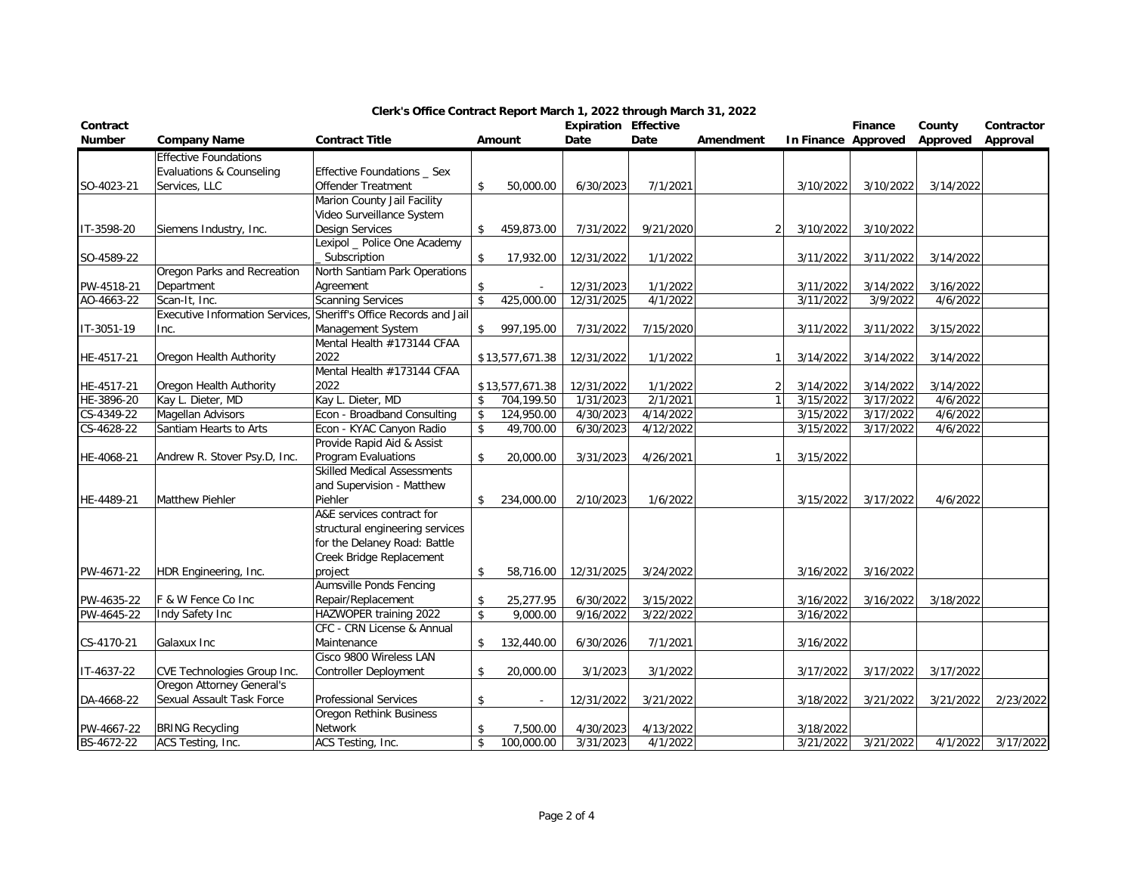| Contract      |                                 |                                    |              |                 | <b>Expiration Effective</b> |           |           |                     | Finance   | County    | Contractor |
|---------------|---------------------------------|------------------------------------|--------------|-----------------|-----------------------------|-----------|-----------|---------------------|-----------|-----------|------------|
| <b>Number</b> | <b>Company Name</b>             | <b>Contract Title</b>              |              | Amount          | Date                        | Date      | Amendment | In Finance Approved |           | Approved  | Approval   |
|               | <b>Effective Foundations</b>    |                                    |              |                 |                             |           |           |                     |           |           |            |
|               | Evaluations & Counseling        | Effective Foundations _ Sex        |              |                 |                             |           |           |                     |           |           |            |
| SO-4023-21    | Services, LLC                   | Offender Treatment                 | \$           | 50,000.00       | 6/30/2023                   | 7/1/2021  |           | 3/10/2022           | 3/10/2022 | 3/14/2022 |            |
|               |                                 | Marion County Jail Facility        |              |                 |                             |           |           |                     |           |           |            |
|               |                                 | Video Surveillance System          |              |                 |                             |           |           |                     |           |           |            |
| IT-3598-20    | Siemens Industry, Inc.          | <b>Design Services</b>             | \$           | 459,873.00      | 7/31/2022                   | 9/21/2020 |           | 3/10/2022           | 3/10/2022 |           |            |
|               |                                 | Lexipol _ Police One Academy       |              |                 |                             |           |           |                     |           |           |            |
| SO-4589-22    |                                 | Subscription                       | \$           | 17,932.00       | 12/31/2022                  | 1/1/2022  |           | 3/11/2022           | 3/11/2022 | 3/14/2022 |            |
|               | Oregon Parks and Recreation     | North Santiam Park Operations      |              |                 |                             |           |           |                     |           |           |            |
| PW-4518-21    | Department                      | Agreement                          | \$           |                 | 12/31/2023                  | 1/1/2022  |           | 3/11/2022           | 3/14/2022 | 3/16/2022 |            |
| AO-4663-22    | Scan-It, Inc.                   | <b>Scanning Services</b>           | $\mathbf{s}$ | 425,000.00      | 12/31/2025                  | 4/1/2022  |           | 3/11/2022           | 3/9/2022  | 4/6/2022  |            |
|               | Executive Information Services, | Sheriff's Office Records and Jail  |              |                 |                             |           |           |                     |           |           |            |
| IT-3051-19    | Inc.                            | Management System                  | \$           | 997,195.00      | 7/31/2022                   | 7/15/2020 |           | 3/11/2022           | 3/11/2022 | 3/15/2022 |            |
|               |                                 | Mental Health #173144 CFAA         |              |                 |                             |           |           |                     |           |           |            |
| HE-4517-21    | Oregon Health Authority         | 2022                               |              | \$13,577,671.38 | 12/31/2022                  | 1/1/2022  |           | 3/14/2022           | 3/14/2022 | 3/14/2022 |            |
|               |                                 | Mental Health #173144 CFAA         |              |                 |                             |           |           |                     |           |           |            |
| HE-4517-21    | Oregon Health Authority         | 2022                               |              | \$13,577,671.38 | 12/31/2022                  | 1/1/2022  |           | 3/14/2022           | 3/14/2022 | 3/14/2022 |            |
| HE-3896-20    | Kay L. Dieter, MD               | Kay L. Dieter, MD                  | \$           | 704,199.50      | 1/31/2023                   | 2/1/2021  |           | 3/15/2022           | 3/17/2022 | 4/6/2022  |            |
| CS-4349-22    | Magellan Advisors               | Econ - Broadband Consulting        | \$           | 124,950.00      | 4/30/2023                   | 4/14/2022 |           | 3/15/2022           | 3/17/2022 | 4/6/2022  |            |
| CS-4628-22    | Santiam Hearts to Arts          | Econ - KYAC Canyon Radio           | \$           | 49,700.00       | 6/30/2023                   | 4/12/2022 |           | 3/15/2022           | 3/17/2022 | 4/6/2022  |            |
|               |                                 | Provide Rapid Aid & Assist         |              |                 |                             |           |           |                     |           |           |            |
| HE-4068-21    | Andrew R. Stover Psy.D, Inc.    | Program Evaluations                | \$           | 20,000.00       | 3/31/2023                   | 4/26/2021 |           | 3/15/2022           |           |           |            |
|               |                                 | <b>Skilled Medical Assessments</b> |              |                 |                             |           |           |                     |           |           |            |
|               |                                 | and Supervision - Matthew          |              |                 |                             |           |           |                     |           |           |            |
| HE-4489-21    | <b>Matthew Piehler</b>          | Piehler                            | \$           | 234,000.00      | 2/10/2023                   | 1/6/2022  |           | 3/15/2022           | 3/17/2022 | 4/6/2022  |            |
|               |                                 | A&E services contract for          |              |                 |                             |           |           |                     |           |           |            |
|               |                                 | structural engineering services    |              |                 |                             |           |           |                     |           |           |            |
|               |                                 | for the Delaney Road: Battle       |              |                 |                             |           |           |                     |           |           |            |
|               |                                 | Creek Bridge Replacement           |              |                 |                             |           |           |                     |           |           |            |
| PW-4671-22    | HDR Engineering, Inc.           | project                            | \$           | 58,716.00       | 12/31/2025                  | 3/24/2022 |           | 3/16/2022           | 3/16/2022 |           |            |
|               |                                 | Aumsville Ponds Fencing            |              |                 |                             |           |           |                     |           |           |            |
| PW-4635-22    | F & W Fence Co Inc              | Repair/Replacement                 | \$           | 25,277.95       | 6/30/2022                   | 3/15/2022 |           | 3/16/2022           | 3/16/2022 | 3/18/2022 |            |
| PW-4645-22    | Indy Safety Inc                 | HAZWOPER training 2022             | \$           | 9,000.00        | 9/16/2022                   | 3/22/2022 |           | 3/16/2022           |           |           |            |
|               |                                 | CFC - CRN License & Annual         |              |                 |                             |           |           |                     |           |           |            |
| CS-4170-21    | Galaxux Inc                     | Maintenance                        | \$           | 132,440.00      | 6/30/2026                   | 7/1/2021  |           | 3/16/2022           |           |           |            |
|               |                                 | Cisco 9800 Wireless LAN            |              |                 |                             |           |           |                     |           |           |            |
| IT-4637-22    | CVE Technologies Group Inc.     | <b>Controller Deployment</b>       | \$           | 20,000.00       | 3/1/2023                    | 3/1/2022  |           | 3/17/2022           | 3/17/2022 | 3/17/2022 |            |
|               | Oregon Attorney General's       |                                    |              |                 |                             |           |           |                     |           |           |            |
| DA-4668-22    | Sexual Assault Task Force       | Professional Services              | \$           |                 | 12/31/2022                  | 3/21/2022 |           | 3/18/2022           | 3/21/2022 | 3/21/2022 | 2/23/2022  |
|               |                                 | Oregon Rethink Business            |              |                 |                             |           |           |                     |           |           |            |
| PW-4667-22    | <b>BRING Recycling</b>          | Network                            | \$           | 7,500.00        | 4/30/2023                   | 4/13/2022 |           | 3/18/2022           |           |           |            |
| BS-4672-22    | ACS Testing, Inc.               | ACS Testing, Inc.                  | \$           | 100,000.00      | 3/31/2023                   | 4/1/2022  |           | 3/21/2022           | 3/21/2022 | 4/1/2022  | 3/17/2022  |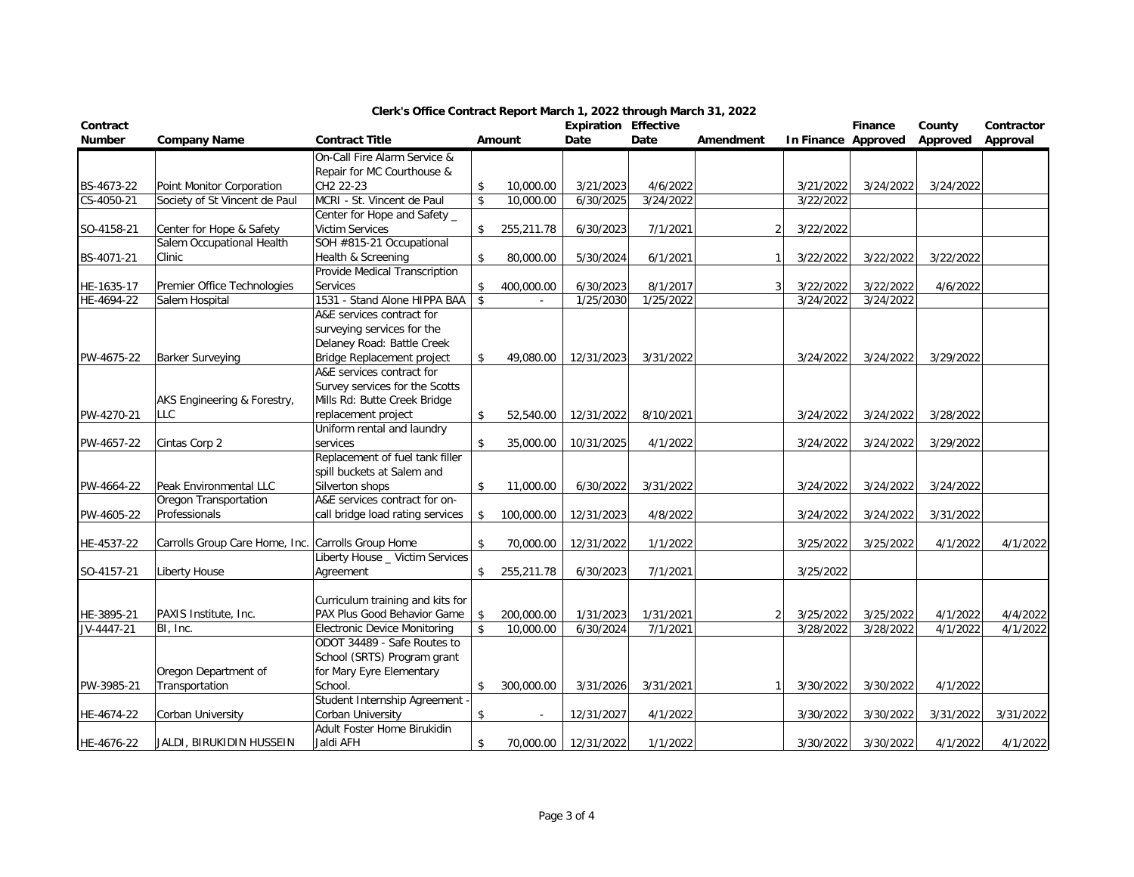| Contract   |                                                    |                                                         |                    |            | <b>Expiration Effective</b> |           |           |                     | Finance   | County    | Contractor |
|------------|----------------------------------------------------|---------------------------------------------------------|--------------------|------------|-----------------------------|-----------|-----------|---------------------|-----------|-----------|------------|
| Number     | <b>Company Name</b>                                | <b>Contract Title</b>                                   |                    | Amount     | Date                        | Date      | Amendment | In Finance Approved |           | Approved  | Approval   |
|            |                                                    | On-Call Fire Alarm Service &                            |                    |            |                             |           |           |                     |           |           |            |
|            |                                                    | Repair for MC Courthouse &                              |                    |            |                             |           |           |                     |           |           |            |
| BS-4673-22 | Point Monitor Corporation                          | CH2 22-23                                               | \$                 | 10,000.00  | 3/21/2023                   | 4/6/2022  |           | 3/21/2022           | 3/24/2022 | 3/24/2022 |            |
| CS-4050-21 | Society of St Vincent de Paul                      | MCRI - St. Vincent de Paul                              | $\sqrt{2}$         | 10,000.00  | 6/30/2025                   | 3/24/2022 |           | 3/22/2022           |           |           |            |
|            |                                                    | Center for Hope and Safety _                            |                    |            |                             |           |           |                     |           |           |            |
| SO-4158-21 | Center for Hope & Safety                           | <b>Victim Services</b>                                  | \$                 | 255,211.78 | 6/30/2023                   | 7/1/2021  |           | 3/22/2022           |           |           |            |
|            | Salem Occupational Health                          | SOH #815-21 Occupational                                |                    |            |                             |           |           |                     |           |           |            |
| BS-4071-21 | Clinic                                             | Health & Screening                                      | \$                 | 80,000.00  | 5/30/2024                   | 6/1/2021  |           | 3/22/2022           | 3/22/2022 | 3/22/2022 |            |
|            |                                                    | Provide Medical Transcription                           |                    |            |                             |           |           |                     |           |           |            |
| HE-1635-17 | Premier Office Technologies                        | <b>Services</b>                                         | \$                 | 400,000.00 | 6/30/2023                   | 8/1/2017  |           | 3/22/2022           | 3/22/2022 | 4/6/2022  |            |
| HE-4694-22 | Salem Hospital                                     | 1531 - Stand Alone HIPPA BAA                            | \$                 | $\sim$     | 1/25/2030                   | 1/25/2022 |           | 3/24/2022           | 3/24/2022 |           |            |
|            |                                                    | A&E services contract for                               |                    |            |                             |           |           |                     |           |           |            |
|            |                                                    | surveying services for the                              |                    |            |                             |           |           |                     |           |           |            |
|            |                                                    | Delaney Road: Battle Creek                              |                    |            |                             |           |           |                     |           |           |            |
| PW-4675-22 | <b>Barker Surveying</b>                            | Bridge Replacement project<br>A&E services contract for | \$                 | 49,080.00  | 12/31/2023                  | 3/31/2022 |           | 3/24/2022           | 3/24/2022 | 3/29/2022 |            |
|            |                                                    |                                                         |                    |            |                             |           |           |                     |           |           |            |
|            |                                                    | Survey services for the Scotts                          |                    |            |                             |           |           |                     |           |           |            |
| PW-4270-21 | AKS Engineering & Forestry,                        | Mills Rd: Butte Creek Bridge                            |                    |            |                             |           |           |                     |           |           |            |
|            | <b>LLC</b>                                         | replacement project<br>Uniform rental and laundry       | \$                 | 52,540.00  | 12/31/2022                  | 8/10/2021 |           | 3/24/2022           | 3/24/2022 | 3/28/2022 |            |
| PW-4657-22 | Cintas Corp 2                                      | services                                                | $\mathbf{\hat{S}}$ | 35,000.00  | 10/31/2025                  | 4/1/2022  |           | 3/24/2022           | 3/24/2022 | 3/29/2022 |            |
|            |                                                    | Replacement of fuel tank filler                         |                    |            |                             |           |           |                     |           |           |            |
|            |                                                    | spill buckets at Salem and                              |                    |            |                             |           |           |                     |           |           |            |
| PW-4664-22 | Peak Environmental LLC                             | Silverton shops                                         | \$                 | 11,000.00  | 6/30/2022                   | 3/31/2022 |           | 3/24/2022           | 3/24/2022 | 3/24/2022 |            |
|            | Oregon Transportation                              | A&E services contract for on-                           |                    |            |                             |           |           |                     |           |           |            |
| PW-4605-22 | Professionals                                      | call bridge load rating services                        | \$                 | 100,000.00 | 12/31/2023                  | 4/8/2022  |           | 3/24/2022           | 3/24/2022 | 3/31/2022 |            |
|            |                                                    |                                                         |                    |            |                             |           |           |                     |           |           |            |
| HE-4537-22 | Carrolls Group Care Home, Inc. Carrolls Group Home |                                                         | \$                 | 70,000.00  | 12/31/2022                  | 1/1/2022  |           | 3/25/2022           | 3/25/2022 | 4/1/2022  | 4/1/2022   |
|            |                                                    | Liberty House _ Victim Services                         |                    |            |                             |           |           |                     |           |           |            |
| SO-4157-21 | Liberty House                                      | Agreement                                               | \$                 | 255,211.78 | 6/30/2023                   | 7/1/2021  |           | 3/25/2022           |           |           |            |
|            |                                                    |                                                         |                    |            |                             |           |           |                     |           |           |            |
|            |                                                    | Curriculum training and kits for                        |                    |            |                             |           |           |                     |           |           |            |
| HE-3895-21 | PAXIS Institute, Inc.                              | PAX Plus Good Behavior Game                             | \$                 | 200,000.00 | 1/31/2023                   | 1/31/2021 |           | 3/25/2022           | 3/25/2022 | 4/1/2022  | 4/4/2022   |
| JV-4447-21 | BI, Inc.                                           | <b>Electronic Device Monitoring</b>                     | $\mathbf{\hat{z}}$ | 10,000.00  | 6/30/2024                   | 7/1/2021  |           | 3/28/2022           | 3/28/2022 | 4/1/2022  | 4/1/2022   |
|            |                                                    | ODOT 34489 - Safe Routes to                             |                    |            |                             |           |           |                     |           |           |            |
|            |                                                    | School (SRTS) Program grant                             |                    |            |                             |           |           |                     |           |           |            |
|            | Oregon Department of                               | for Mary Eyre Elementary                                |                    |            |                             |           |           |                     |           |           |            |
| PW-3985-21 | Transportation                                     | School.                                                 | \$                 | 300,000.00 | 3/31/2026                   | 3/31/2021 |           | 3/30/2022           | 3/30/2022 | 4/1/2022  |            |
|            |                                                    | Student Internship Agreement -                          |                    |            |                             |           |           |                     |           |           |            |
| HE-4674-22 | Corban University                                  | Corban University                                       | \$                 |            | 12/31/2027                  | 4/1/2022  |           | 3/30/2022           | 3/30/2022 | 3/31/2022 | 3/31/2022  |
|            |                                                    | Adult Foster Home Birukidin                             |                    |            |                             |           |           |                     |           |           |            |
| HE-4676-22 | JALDI, BIRUKIDIN HUSSEIN                           | Jaldi AFH                                               | \$                 | 70,000.00  | 12/31/2022                  | 1/1/2022  |           | 3/30/2022           | 3/30/2022 | 4/1/2022  | 4/1/2022   |